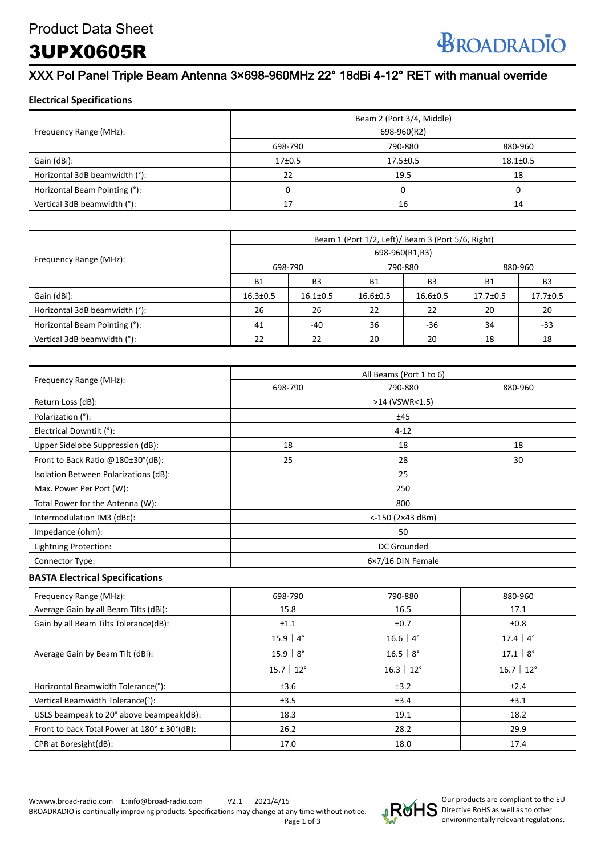## 3UPX0605R

## XXX Pol Panel Triple Beam Antenna 3×698-960MHz 22° 18dBi 4-12° RET with manual override

#### **Electrical Specifications**

|                               | Beam 2 (Port 3/4, Middle)<br>698-960(R2) |                |                |  |
|-------------------------------|------------------------------------------|----------------|----------------|--|
| Frequency Range (MHz):        |                                          |                |                |  |
|                               | 698-790                                  | 790-880        | 880-960        |  |
| Gain (dBi):                   | 17 <sub>±</sub> 0.5                      | $17.5 \pm 0.5$ | $18.1 \pm 0.5$ |  |
| Horizontal 3dB beamwidth (°): | 22                                       | 19.5           | 18             |  |
| Horizontal Beam Pointing (°): |                                          |                |                |  |
| Vertical 3dB beamwidth (°):   | 17                                       | 16             | 14             |  |

|                               | Beam 1 (Port 1/2, Left)/ Beam 3 (Port 5/6, Right) |                |                |                |           |                |  |
|-------------------------------|---------------------------------------------------|----------------|----------------|----------------|-----------|----------------|--|
| Frequency Range (MHz):        |                                                   | 698-960(R1,R3) |                |                |           |                |  |
|                               | 698-790                                           |                | 790-880        |                | 880-960   |                |  |
|                               | <b>B1</b>                                         | B <sub>3</sub> | <b>B1</b>      | B <sub>3</sub> | <b>B1</b> | B <sub>3</sub> |  |
| Gain (dBi):                   | $16.3 \pm 0.5$                                    | $16.1 \pm 0.5$ | $16.6 \pm 0.5$ | $16.6 \pm 0.5$ | 17.7±0.5  | 17.7±0.5       |  |
| Horizontal 3dB beamwidth (°): | 26                                                | 26             | 22             | 22             | 20        | 20             |  |
| Horizontal Beam Pointing (°): | 41                                                | $-40$          | 36             | $-36$          | 34        | -33            |  |
| Vertical 3dB beamwidth (°):   | 22                                                | 22             | 20             | 20             | 18        | 18             |  |

|                                       |         | All Beams (Port 1 to 6) |         |  |  |
|---------------------------------------|---------|-------------------------|---------|--|--|
| Frequency Range (MHz):                | 698-790 | 790-880                 | 880-960 |  |  |
| Return Loss (dB):                     |         | >14 (VSWR<1.5)          |         |  |  |
| Polarization (°):                     |         | ±45                     |         |  |  |
| Electrical Downtilt (°):              |         | $4 - 12$                |         |  |  |
| Upper Sidelobe Suppression (dB):      | 18      | 18                      | 18      |  |  |
| Front to Back Ratio @180±30°(dB):     | 25      | 28                      | 30      |  |  |
| Isolation Between Polarizations (dB): |         | 25                      |         |  |  |
| Max. Power Per Port (W):              |         | 250                     |         |  |  |
| Total Power for the Antenna (W):      |         | 800                     |         |  |  |
| Intermodulation IM3 (dBc):            |         | $< -150$ (2×43 dBm)     |         |  |  |
| Impedance (ohm):                      |         | 50                      |         |  |  |
| Lightning Protection:                 |         | DC Grounded             |         |  |  |
| Connector Type:                       |         | 6×7/16 DIN Female       |         |  |  |

#### **BASTA Electrical Specifications**

| Frequency Range (MHz):                        | 698-790                | 790-880                | 880-960                  |
|-----------------------------------------------|------------------------|------------------------|--------------------------|
| Average Gain by all Beam Tilts (dBi):         | 15.8                   | 16.5                   | 17.1                     |
| Gain by all Beam Tilts Tolerance(dB):         | ±1.1                   | ±0.7                   | ±0.8                     |
|                                               | 15.9 $ 4^{\circ}$      | $16.6 \mid 4^{\circ}$  | 17.4 $ 4^{\circ}$        |
| Average Gain by Beam Tilt (dBi):              | $15.9$   $8^\circ$     | 16.5   $8^{\circ}$     | $17.1 \,   \, 8^{\circ}$ |
|                                               | $15.7 \mid 12^{\circ}$ | $16.3 \mid 12^{\circ}$ | $16.7 \mid 12^{\circ}$   |
| Horizontal Beamwidth Tolerance(°):            | ±3.6                   | ±3.2                   | ±2.4                     |
| Vertical Beamwidth Tolerance(°):              | ±3.5                   | ±3.4                   | ±3.1                     |
| USLS beampeak to 20° above beampeak(dB):      | 18.3                   | 19.1                   | 18.2                     |
| Front to back Total Power at 180° ± 30° (dB): | 26.2                   | 28.2                   | 29.9                     |
| CPR at Boresight(dB):                         | 17.0                   | 18.0                   | 17.4                     |

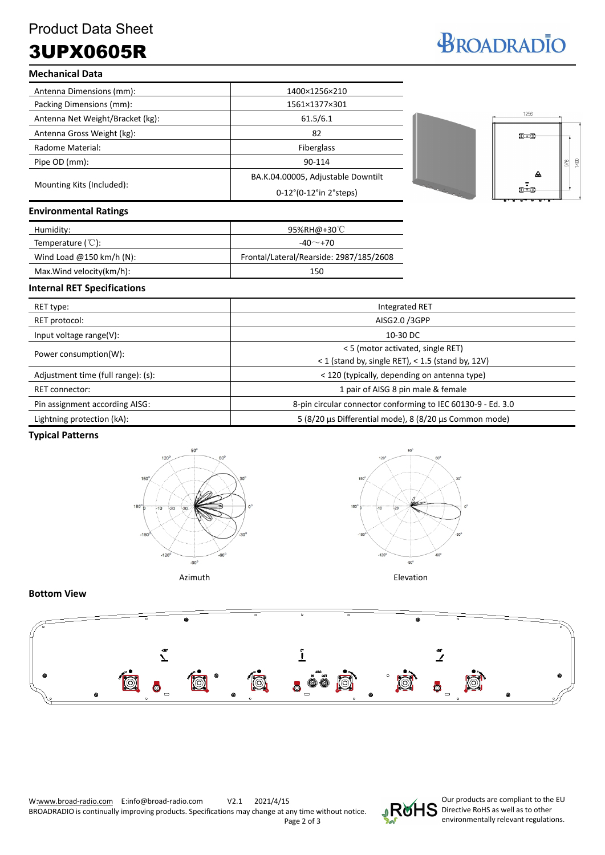# 3UPX0605R

# BROADRADIO

| <b>Mechanical Data</b>                                                                      |                                    |  |
|---------------------------------------------------------------------------------------------|------------------------------------|--|
| Antenna Dimensions (mm):                                                                    | 1400×1256×210                      |  |
| Packing Dimensions (mm):                                                                    | 1561×1377×301                      |  |
| Antenna Net Weight/Bracket (kg):                                                            | 61.5/6.1                           |  |
| Antenna Gross Weight (kg):                                                                  | 82                                 |  |
| Radome Material:                                                                            | Fiberglass                         |  |
| Pipe OD (mm):                                                                               | 90-114                             |  |
|                                                                                             | BA.K.04.00005, Adjustable Downtilt |  |
| Mounting Kits (Included):                                                                   | 0-12°(0-12°in 2°steps)             |  |
| <b>Environmental Ratings</b>                                                                |                                    |  |
| Humidity:                                                                                   | 95%RH@+30℃                         |  |
| $T_{\text{c}}$ and $T_{\text{c}}$ and $T_{\text{c}}$ and $T_{\text{c}}$ ( $\sim$ 1.4 $\sim$ | $\overline{10}$ $\overline{20}$    |  |



| Humidity:                              | 95%RH@+30℃                              |  |
|----------------------------------------|-----------------------------------------|--|
| Temperature $({}^{\circ}\mathbb{C})$ : | $-40^\sim$ +70                          |  |
| Wind Load @150 km/h (N):               | Frontal/Lateral/Rearside: 2987/185/2608 |  |
| Max.Wind velocity(km/h):               | 150                                     |  |

#### **Internal RET Specifications**

| RET type:                          | <b>Integrated RET</b>                                                                       |
|------------------------------------|---------------------------------------------------------------------------------------------|
| RET protocol:                      | AISG2.0 /3GPP                                                                               |
| Input voltage range(V):            | 10-30 DC                                                                                    |
| Power consumption(W):              | < 5 (motor activated, single RET)<br>< 1 (stand by, single RET), < $1.5$ (stand by, $12V$ ) |
| Adjustment time (full range): (s): | < 120 (typically, depending on antenna type)                                                |
| RET connector:                     | 1 pair of AISG 8 pin male & female                                                          |
| Pin assignment according AISG:     | 8-pin circular connector conforming to IEC 60130-9 - Ed. 3.0                                |
| Lightning protection (kA):         | 5 (8/20 μs Differential mode), 8 (8/20 μs Common mode)                                      |

#### **Typical Patterns**





#### **Bottom View**





Our products are compliant to the EU Directive RoHS as well as to other environmentally relevant regulations.